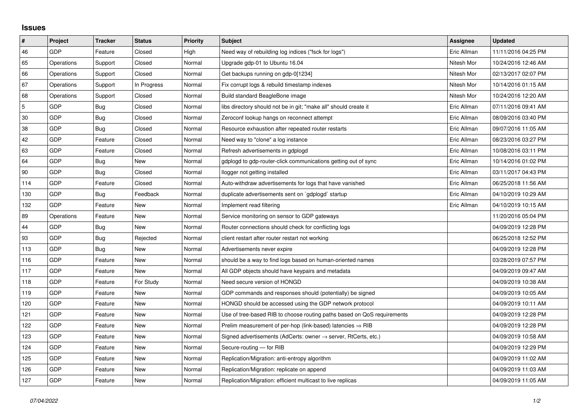## **Issues**

| $\vert$ #      | Project    | <b>Tracker</b> | <b>Status</b> | <b>Priority</b> | <b>Subject</b>                                                             | Assignee    | <b>Updated</b>      |
|----------------|------------|----------------|---------------|-----------------|----------------------------------------------------------------------------|-------------|---------------------|
| 46             | GDP        | Feature        | Closed        | High            | Need way of rebuilding log indices ("fsck for logs")                       | Eric Allman | 11/11/2016 04:25 PM |
| 65             | Operations | Support        | Closed        | Normal          | Upgrade gdp-01 to Ubuntu 16.04                                             | Nitesh Mor  | 10/24/2016 12:46 AM |
| 66             | Operations | Support        | Closed        | Normal          | Get backups running on gdp-0[1234]                                         | Nitesh Mor  | 02/13/2017 02:07 PM |
| 67             | Operations | Support        | In Progress   | Normal          | Fix corrupt logs & rebuild timestamp indexes                               | Nitesh Mor  | 10/14/2016 01:15 AM |
| 68             | Operations | Support        | Closed        | Normal          | Build standard BeagleBone image                                            | Nitesh Mor  | 10/24/2016 12:20 AM |
| $\overline{5}$ | <b>GDP</b> | Bug            | Closed        | Normal          | libs directory should not be in git; "make all" should create it           | Eric Allman | 07/11/2016 09:41 AM |
| 30             | <b>GDP</b> | Bug            | Closed        | Normal          | Zeroconf lookup hangs on reconnect attempt                                 | Eric Allman | 08/09/2016 03:40 PM |
| 38             | GDP        | Bug            | Closed        | Normal          | Resource exhaustion after repeated router restarts                         | Eric Allman | 09/07/2016 11:05 AM |
| 42             | <b>GDP</b> | Feature        | Closed        | Normal          | Need way to "clone" a log instance                                         | Eric Allman | 08/23/2016 03:27 PM |
| 63             | <b>GDP</b> | Feature        | Closed        | Normal          | Refresh advertisements in gdplogd                                          | Eric Allman | 10/08/2016 03:11 PM |
| 64             | <b>GDP</b> | Bug            | New           | Normal          | gdplogd to gdp-router-click communications getting out of sync             | Eric Allman | 10/14/2016 01:02 PM |
| $90\,$         | GDP        | Bug            | Closed        | Normal          | llogger not getting installed                                              | Eric Allman | 03/11/2017 04:43 PM |
| 114            | <b>GDP</b> | Feature        | Closed        | Normal          | Auto-withdraw advertisements for logs that have vanished                   | Eric Allman | 06/25/2018 11:56 AM |
| 130            | GDP        | Bug            | Feedback      | Normal          | duplicate advertisements sent on `gdplogd` startup                         | Eric Allman | 04/10/2019 10:29 AM |
| 132            | <b>GDP</b> | Feature        | New           | Normal          | Implement read filtering                                                   | Eric Allman | 04/10/2019 10:15 AM |
| 89             | Operations | Feature        | New           | Normal          | Service monitoring on sensor to GDP gateways                               |             | 11/20/2016 05:04 PM |
| 44             | <b>GDP</b> | Bug            | New           | Normal          | Router connections should check for conflicting logs                       |             | 04/09/2019 12:28 PM |
| 93             | <b>GDP</b> | <b>Bug</b>     | Rejected      | Normal          | client restart after router restart not working                            |             | 06/25/2018 12:52 PM |
| 113            | <b>GDP</b> | Bug            | <b>New</b>    | Normal          | Advertisements never expire                                                |             | 04/09/2019 12:28 PM |
| 116            | GDP        | Feature        | New           | Normal          | should be a way to find logs based on human-oriented names                 |             | 03/28/2019 07:57 PM |
| 117            | GDP        | Feature        | New           | Normal          | All GDP objects should have keypairs and metadata                          |             | 04/09/2019 09:47 AM |
| 118            | <b>GDP</b> | Feature        | For Study     | Normal          | Need secure version of HONGD                                               |             | 04/09/2019 10:38 AM |
| 119            | GDP        | Feature        | New           | Normal          | GDP commands and responses should (potentially) be signed                  |             | 04/09/2019 10:05 AM |
| 120            | <b>GDP</b> | Feature        | New           | Normal          | HONGD should be accessed using the GDP network protocol                    |             | 04/09/2019 10:11 AM |
| 121            | <b>GDP</b> | Feature        | New           | Normal          | Use of tree-based RIB to choose routing paths based on QoS requirements    |             | 04/09/2019 12:28 PM |
| 122            | GDP        | Feature        | New           | Normal          | Prelim measurement of per-hop (link-based) latencies $\Rightarrow$ RIB     |             | 04/09/2019 12:28 PM |
| 123            | <b>GDP</b> | Feature        | <b>New</b>    | Normal          | Signed advertisements (AdCerts: owner $\rightarrow$ server, RtCerts, etc.) |             | 04/09/2019 10:58 AM |
| 124            | <b>GDP</b> | Feature        | New           | Normal          | Secure-routing - for RIB                                                   |             | 04/09/2019 12:29 PM |
| 125            | GDP        | Feature        | <b>New</b>    | Normal          | Replication/Migration: anti-entropy algorithm                              |             | 04/09/2019 11:02 AM |
| 126            | GDP        | Feature        | New           | Normal          | Replication/Migration: replicate on append                                 |             | 04/09/2019 11:03 AM |
| 127            | GDP        | Feature        | <b>New</b>    | Normal          | Replication/Migration: efficient multicast to live replicas                |             | 04/09/2019 11:05 AM |